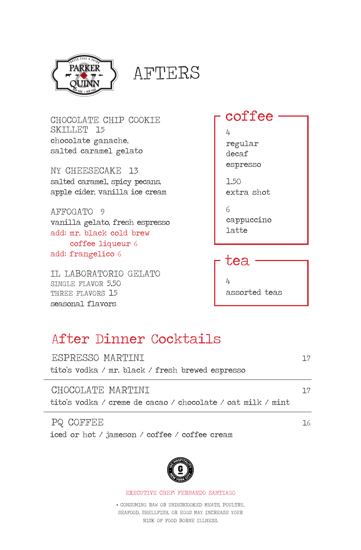

PARKER SAFTERS

CHOCOLATE CHIP COOKIE SKILLET 15 chocolate ganache, salted caramel gelato

NY CHEESECAKE 13 salted caramel, spicy pecans, apple cider, vanilla ice cream

AFFOGATO 9 vanilla gelato, fresh espresso add: mr. black cold brew coffee liqueur 6 add: frangelico 6

IL LABORATORIO GELATO SINGLE FLAVOR 5.50 THREE FLAVORS 15 seasonal flavors

coffee

4 regular decaf espresso

1.50 extra shot

6 cappuccino latte

 tea 4 assorted teas

# After Dinner Cocktails

| ESPRESSO MARTINI<br>tito's vodka / mr. black / fresh brewed espresso             | 7 7       |
|----------------------------------------------------------------------------------|-----------|
| CHOCOLATE MARTINI<br>tito's vodka / creme de cacao / chocolate / oat milk / mint | <b>17</b> |
| PQ COFFEE                                                                        | 76.       |

iced or hot / jameson / coffee / coffee cream



EXECUTIVE CHEF: FERNANDO SANTIAGO

\* CONSUMING RAW OR UNDERCOOKED MEATS, POULTRY, SEAFOOD, SHELLFISH, OR EGGS MAY INCREASE YOUR RISK OF FOOD BORNE ILLNESS.